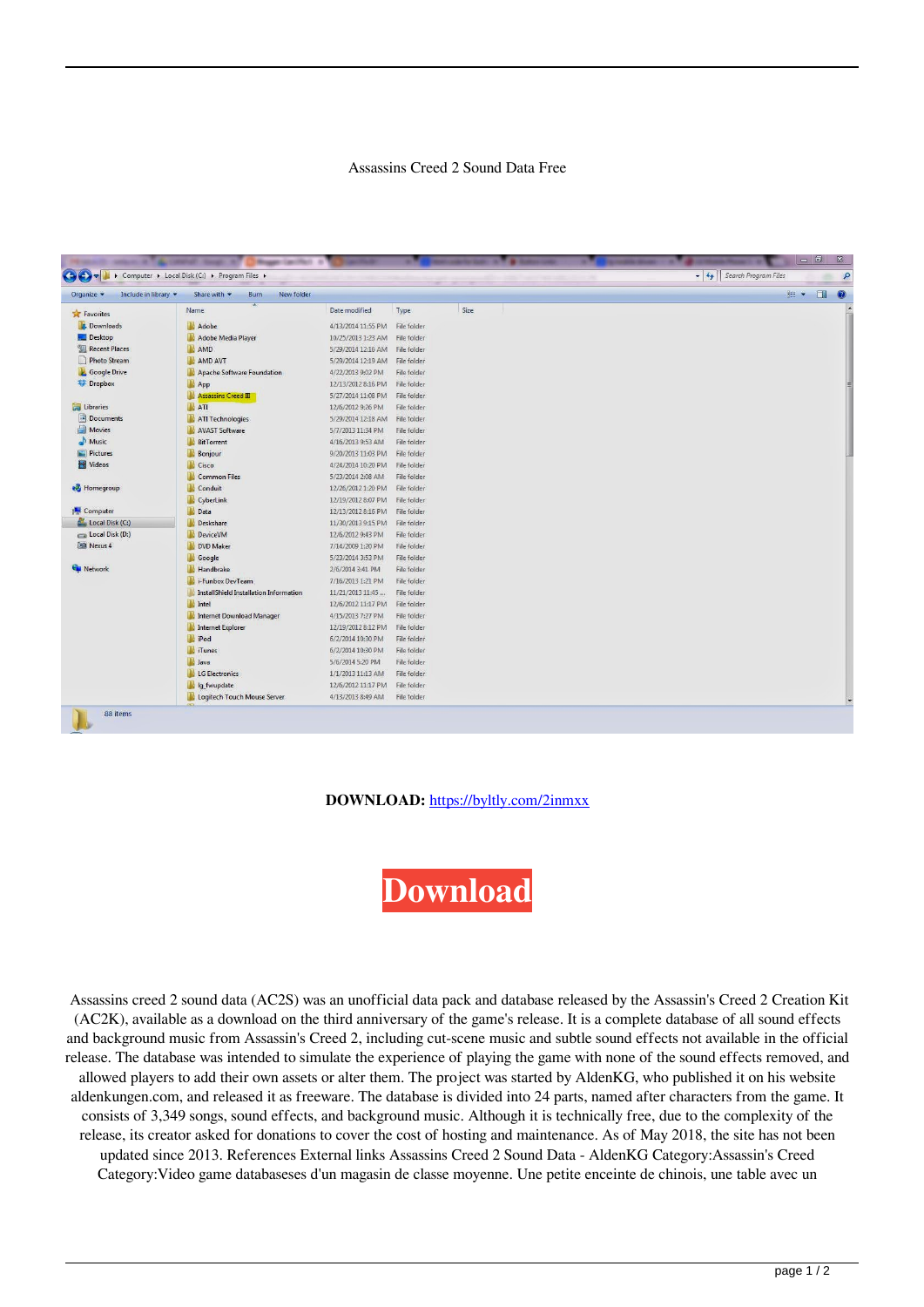## Assassins Creed 2 Sound Data Free

| Include in library<br>Organize v | Share with v<br>New folder<br>Burn     |                    |             |      | <b>注, 日</b><br>$\bullet$ |
|----------------------------------|----------------------------------------|--------------------|-------------|------|--------------------------|
| Favorites                        | ≖<br>Name                              | Date modified      | Type        | Size |                          |
| <b>Downloads</b>                 | Adobe                                  | 4/13/2014 11:55 PM | File folder |      |                          |
| Desktop                          | Adobe Media Player                     | 10/25/2013 1:23 AM | File folder |      |                          |
| <b>Recent Places</b>             | <b>AMD</b>                             | 5/29/2014 12:16 AM | File folder |      |                          |
| Photo Stream                     | AMD AVT                                | 5/29/2014 12:19 AM | File folder |      |                          |
| <b>Google Drive</b>              | Apache Software Foundation             | 4/22/2013 9:02 PM  | File folder |      |                          |
| <b>Dropbox</b>                   | App                                    | 12/13/2012 8:16 PM | File folder |      |                          |
|                                  | Assassins Creed III                    | 5/27/2014 11:08 PM | File folder |      |                          |
| Libraries                        | $\blacksquare$ ATI                     | 12/6/2012 9:26 PM  | File folder |      |                          |
| Documents                        | ATI Technologies                       | 5/29/2014 12:18 AM | File folder |      |                          |
| <b>Movies</b>                    | <b>AVAST Software</b>                  | 5/7/2013 11:34 PM  | File folder |      |                          |
| Music                            | <b>BitTorrent</b>                      | 4/16/2013 9:53 AM  | File folder |      |                          |
| Pictures                         | Bonjour                                | 9/20/2013 11:03 PM | File folder |      |                          |
| Videos                           | <b>Cisco</b>                           | 4/24/2014 10:20 PM | File folder |      |                          |
|                                  | Common Files                           | 5/23/2014 2:08 AM  | File folder |      |                          |
| <b>Homegroup</b>                 | Conduit                                | 12/26/2012 1:20 PM | File folder |      |                          |
|                                  | CyberLink                              | 12/19/2012 8:07 PM | File folder |      |                          |
| Computer                         | Data                                   | 12/13/2012 8:16 PM | File folder |      |                          |
| Local Disk (C:)                  | Deskshare                              | 11/30/2013 9:15 PM | File folder |      |                          |
| Local Disk (D:)                  | DeviceVM                               | 12/6/2012 9:43 PM  | File folder |      |                          |
| o'l Nexus 4                      | DVD Maker                              | 7/14/2009 1:20 PM  | File folder |      |                          |
|                                  | <b>Google</b>                          | 5/23/2014 3:53 PM  | File folder |      |                          |
| <b>CM</b> Network                | <b>Handbrake</b>                       | 2/6/2014 3:41 PM   | File folder |      |                          |
|                                  | <b>i</b> -Funbox DevTeam               | 7/16/2013 1:21 PM  | File folder |      |                          |
|                                  | InstallShield Installation Information | 11/21/2013 11:45   | File folder |      |                          |
|                                  | <b>Intel</b>                           | 12/6/2012 11:17 PM | File folder |      |                          |
|                                  | Internet Download Manager              | 4/15/2013 7:27 PM  | File folder |      |                          |
|                                  | Internet Explorer                      | 12/19/2012 8:12 PM | File folder |      |                          |
|                                  | iPod                                   | 6/2/2014 10:30 PM  | File folder |      |                          |
|                                  | <b>Tunes</b>                           | 6/2/2014 10:30 PM  | File folder |      |                          |
|                                  | <b>Java</b>                            | 5/6/2014 5:20 PM   | File folder |      |                          |
|                                  | LG Electronics                         | 1/1/2013 11:13 AM  | File folder |      |                          |
|                                  | lig_fwupdate                           | 12/6/2012 11:17 PM | File folder |      |                          |
|                                  | Logitech Touch Mouse Server            | 4/13/2013 8:49 AM  | File folder |      |                          |

## **DOWNLOAD:** <https://byltly.com/2inmxx>



 Assassins creed 2 sound data (AC2S) was an unofficial data pack and database released by the Assassin's Creed 2 Creation Kit (AC2K), available as a download on the third anniversary of the game's release. It is a complete database of all sound effects and background music from Assassin's Creed 2, including cut-scene music and subtle sound effects not available in the official release. The database was intended to simulate the experience of playing the game with none of the sound effects removed, and allowed players to add their own assets or alter them. The project was started by AldenKG, who published it on his website aldenkungen.com, and released it as freeware. The database is divided into 24 parts, named after characters from the game. It consists of 3,349 songs, sound effects, and background music. Although it is technically free, due to the complexity of the release, its creator asked for donations to cover the cost of hosting and maintenance. As of May 2018, the site has not been updated since 2013. References External links Assassins Creed 2 Sound Data - AldenKG Category:Assassin's Creed Category:Video game databaseses d'un magasin de classe moyenne. Une petite enceinte de chinois, une table avec un